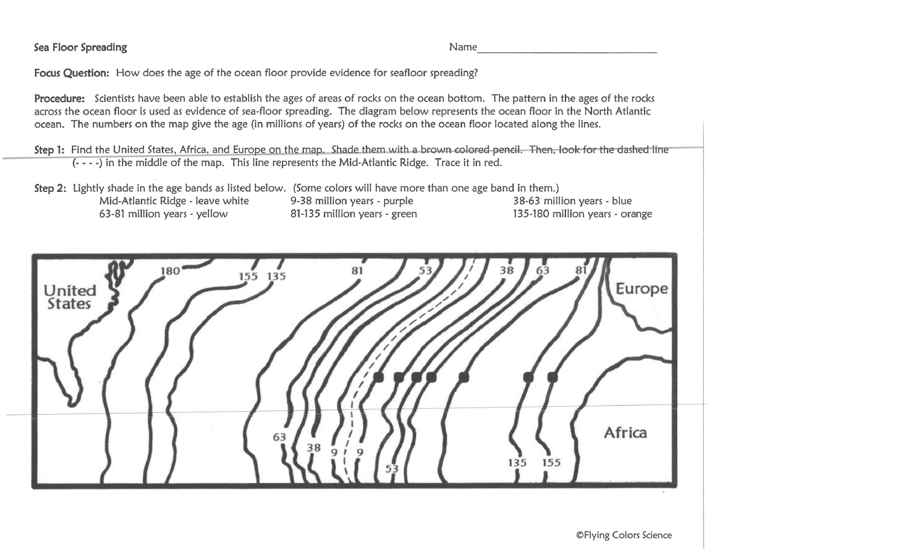Sea Floor Spreading Name

-------------------------------

Focus Question: How does the age of the ocean floor provide evidence for seafloor spreading?

Procedure: Scientists have been able to establish the ages of areas of rocks on the ocean bottom. The pattern in the ages of the rocks across the ocean floor is used as evidence of sea-floor spreading. The diagram below represents the ocean floor in the North Atlantic ocean. The numbers on the map give the age (in millions of years) of the rocks on the ocean floor located along the lines.

Step 1: Find the United States, Africa, and Europe on the map. Shade them with a brown colored pencil. Then, look for the dashed line (- - - -) in the middle of the map. This line represents the Mid-Atlantic Ridge. Trace it in red.

Step 2: Lightly shade in the age bands as listed below. (Some colors will have more than one age band in them.) Mid-Atlantic Ridge - leave white 9-38 million years - purple 38-63 million years - blue 63-81 million years - yellow 81-135 million years - green 135-180 million years - orange